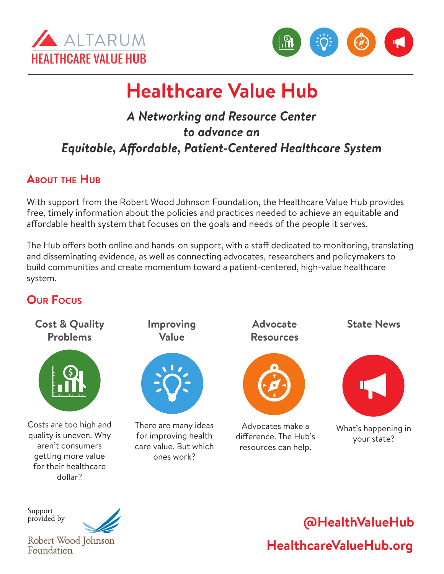



# **Healthcare Value Hub**

### *A Networking and Resource Center to advance an Equitable, Affordable, Patient-Centered Healthcare System*

### **About the Hub**

With support from the Robert Wood Johnson Foundation, the Healthcare Value Hub provides free, timely information about the policies and practices needed to achieve an equitable and affordable health system that focuses on the goals and needs of the people it serves.

The Hub offers both online and hands-on support, with a staff dedicated to monitoring, translating and disseminating evidence, as well as connecting advocates, researchers and policymakers to build communities and create momentum toward a patient-centered, high-value healthcare system.

### **Our Focus**



Support provided by



Robert Wood Johnson Foundation

## **HealthcareValueHub.org @HealthValueHub**